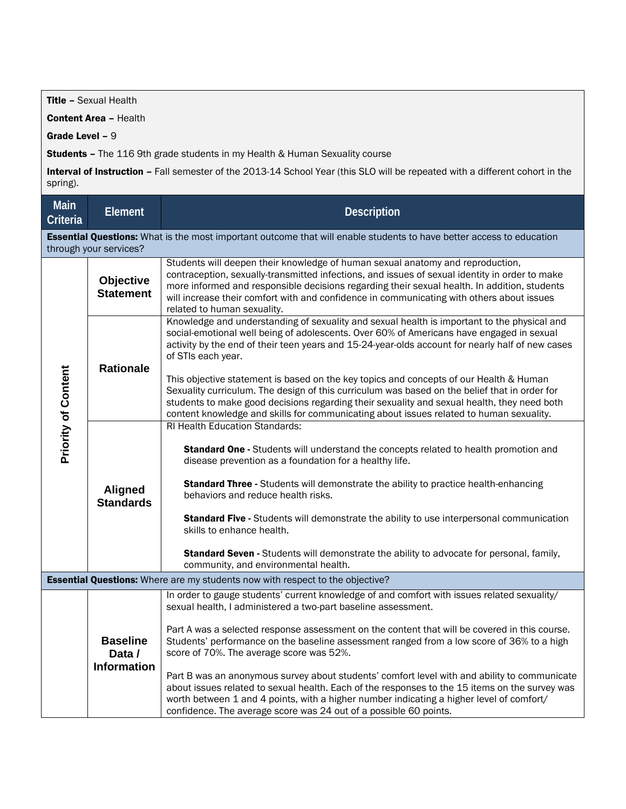Title – Sexual Health

Content Area – Health

Grade Level – 9

Students - The 116 9th grade students in my Health & Human Sexuality course

Interval of Instruction - Fall semester of the 2013-14 School Year (this SLO will be repeated with a different cohort in the spring).

| <b>Main</b><br>Criteria                                                                                                                               | <b>Element</b>                                  | <b>Description</b>                                                                                                                                                                                                                                                                                                                                                                                                                                                                                                                                                                                                                                                                                                                                                        |  |  |
|-------------------------------------------------------------------------------------------------------------------------------------------------------|-------------------------------------------------|---------------------------------------------------------------------------------------------------------------------------------------------------------------------------------------------------------------------------------------------------------------------------------------------------------------------------------------------------------------------------------------------------------------------------------------------------------------------------------------------------------------------------------------------------------------------------------------------------------------------------------------------------------------------------------------------------------------------------------------------------------------------------|--|--|
| <b>Essential Questions:</b> What is the most important outcome that will enable students to have better access to education<br>through your services? |                                                 |                                                                                                                                                                                                                                                                                                                                                                                                                                                                                                                                                                                                                                                                                                                                                                           |  |  |
| <b>Priority of Content</b>                                                                                                                            | <b>Objective</b><br><b>Statement</b>            | Students will deepen their knowledge of human sexual anatomy and reproduction,<br>contraception, sexually-transmitted infections, and issues of sexual identity in order to make<br>more informed and responsible decisions regarding their sexual health. In addition, students<br>will increase their comfort with and confidence in communicating with others about issues<br>related to human sexuality.                                                                                                                                                                                                                                                                                                                                                              |  |  |
|                                                                                                                                                       | <b>Rationale</b>                                | Knowledge and understanding of sexuality and sexual health is important to the physical and<br>social-emotional well being of adolescents. Over 60% of Americans have engaged in sexual<br>activity by the end of their teen years and 15-24-year-olds account for nearly half of new cases<br>of STIs each year.<br>This objective statement is based on the key topics and concepts of our Health & Human<br>Sexuality curriculum. The design of this curriculum was based on the belief that in order for<br>students to make good decisions regarding their sexuality and sexual health, they need both<br>content knowledge and skills for communicating about issues related to human sexuality.                                                                    |  |  |
|                                                                                                                                                       | <b>Aligned</b><br><b>Standards</b>              | <b>RI Health Education Standards:</b><br><b>Standard One - Students will understand the concepts related to health promotion and</b><br>disease prevention as a foundation for a healthy life.<br><b>Standard Three - Students will demonstrate the ability to practice health-enhancing</b><br>behaviors and reduce health risks.<br>Standard Five - Students will demonstrate the ability to use interpersonal communication<br>skills to enhance health.<br>Standard Seven - Students will demonstrate the ability to advocate for personal, family,<br>community, and environmental health.                                                                                                                                                                           |  |  |
| <b>Essential Questions:</b> Where are my students now with respect to the objective?                                                                  |                                                 |                                                                                                                                                                                                                                                                                                                                                                                                                                                                                                                                                                                                                                                                                                                                                                           |  |  |
|                                                                                                                                                       | <b>Baseline</b><br>Data /<br><b>Information</b> | In order to gauge students' current knowledge of and comfort with issues related sexuality/<br>sexual health, I administered a two-part baseline assessment.<br>Part A was a selected response assessment on the content that will be covered in this course.<br>Students' performance on the baseline assessment ranged from a low score of 36% to a high<br>score of 70%. The average score was 52%.<br>Part B was an anonymous survey about students' comfort level with and ability to communicate<br>about issues related to sexual health. Each of the responses to the 15 items on the survey was<br>worth between 1 and 4 points, with a higher number indicating a higher level of comfort/<br>confidence. The average score was 24 out of a possible 60 points. |  |  |